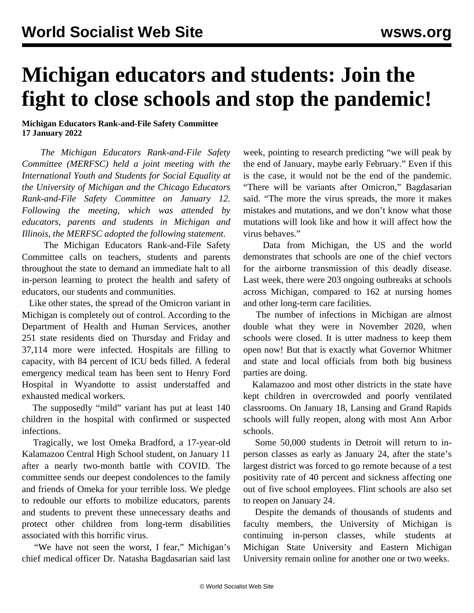## **Michigan educators and students: Join the fight to close schools and stop the pandemic!**

## **Michigan Educators Rank-and-File Safety Committee 17 January 2022**

 *The Michigan Educators Rank-and-File Safety Committee (MERFSC) held a joint meeting with the International Youth and Students for Social Equality at the University of Michigan and the Chicago Educators Rank-and-File Safety Committee on January 12. Following the meeting, which was attended by educators, parents and students in Michigan and Illinois, the MERFSC adopted the following statement.*

 The Michigan Educators Rank-and-File Safety Committee calls on teachers, students and parents throughout the state to demand an immediate halt to all in-person learning to protect the health and safety of educators, our students and communities.

 Like other states, the spread of the Omicron variant in Michigan is completely out of control. According to the Department of Health and Human Services, another 251 state residents died on Thursday and Friday and 37,114 more were infected. Hospitals are filling to capacity, with 84 percent of ICU beds filled. A federal emergency medical team has been sent to Henry Ford Hospital in Wyandotte to assist understaffed and exhausted medical workers.

 The supposedly "mild" variant has put at least 140 children in the hospital with confirmed or suspected infections.

 Tragically, we lost Omeka Bradford, a 17-year-old Kalamazoo Central High School student, on January 11 after a nearly two-month battle with COVID. The committee sends our deepest condolences to the family and friends of Omeka for your terrible loss. We pledge to redouble our efforts to mobilize educators, parents and students to prevent these unnecessary deaths and protect other children from long-term disabilities associated with this horrific virus.

 "We have not seen the worst, I fear," Michigan's chief medical officer Dr. Natasha Bagdasarian said last week, pointing to research predicting "we will peak by the end of January, maybe early February." Even if this is the case, it would not be the end of the pandemic. "There will be variants after Omicron," Bagdasarian said. "The more the virus spreads, the more it makes mistakes and mutations, and we don't know what those mutations will look like and how it will affect how the virus behaves."

 Data from Michigan, the US and the world demonstrates that schools are one of the chief vectors for the airborne transmission of this deadly disease. Last week, there were 203 ongoing outbreaks at schools across Michigan, compared to 162 at nursing homes and other long-term care facilities.

 The number of infections in Michigan are almost double what they were in November 2020, when schools were closed. It is utter madness to keep them open now! But that is exactly what Governor Whitmer and state and local officials from both big business parties are doing.

 Kalamazoo and most other districts in the state have kept children in overcrowded and poorly ventilated classrooms. On January 18, Lansing and Grand Rapids schools will fully reopen, along with most Ann Arbor schools.

 Some 50,000 students in Detroit will return to inperson classes as early as January 24, after the state's largest district was forced to go remote because of a test positivity rate of 40 percent and sickness affecting one out of five school employees. Flint schools are also set to reopen on January 24.

 Despite the demands of thousands of students and faculty members, the University of Michigan is continuing in-person classes, while students at Michigan State University and Eastern Michigan University remain online for another one or two weeks.